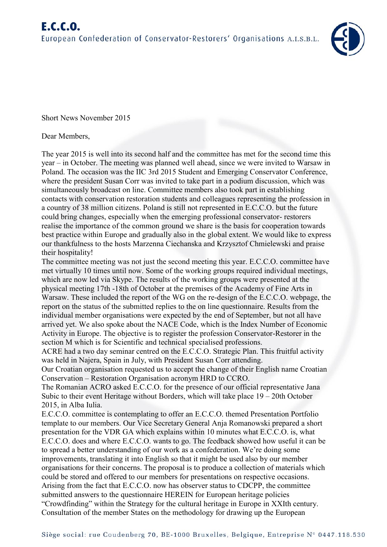

Short News November 2015

## Dear Members,

The year 2015 is well into its second half and the committee has met for the second time this year – in October. The meeting was planned well ahead, since we were invited to Warsaw in Poland. The occasion was the IIC 3rd 2015 Student and Emerging Conservator Conference, where the president Susan Corr was invited to take part in a podium discussion, which was simultaneously broadcast on line. Committee members also took part in establishing contacts with conservation restoration students and colleagues representing the profession in a country of 38 million citizens. Poland is still not represented in E.C.C.O. but the future could bring changes, especially when the emerging professional conservator- restorers realise the importance of the common ground we share is the basis for cooperation towards best practice within Europe and gradually also in the global extent. We would like to express our thankfulness to the hosts Marzenna Ciechanska and Krzysztof Chmielewski and praise their hospitality!

The committee meeting was not just the second meeting this year. E.C.C.O. committee have met virtually 10 times until now. Some of the working groups required individual meetings, which are now led via Skype. The results of the working groups were presented at the physical meeting 17th -18th of October at the premises of the Academy of Fine Arts in Warsaw. These included the report of the WG on the re-design of the E.C.C.O. webpage, the report on the status of the submitted replies to the on line questionnaire. Results from the individual member organisations were expected by the end of September, but not all have arrived yet. We also spoke about the NACE Code, which is the Index Number of Economic Activity in Europe. The objective is to register the profession Conservator-Restorer in the section M which is for Scientific and technical specialised professions.

ACRE had a two day seminar centred on the E.C.C.O. Strategic Plan. This fruitful activity was held in Najera, Spain in July, with President Susan Corr attending.

Our Croatian organisation requested us to accept the change of their English name Croatian Conservation – Restoration Organisation acronym HRD to CCRO.

The Romanian ACRO asked E.C.C.O. for the presence of our official representative Jana Subic to their event Heritage without Borders, which will take place  $19 - 20$ th October 2015, in Alba Iulia.

E.C.C.O. committee is contemplating to offer an E.C.C.O. themed Presentation Portfolio template to our members. Our Vice Secretary General Anja Romanowski prepared a short presentation for the VDR GA which explains within 10 minutes what E.C.C.O. is, what E.C.C.O. does and where E.C.C.O. wants to go. The feedback showed how useful it can be to spread a better understanding of our work as a confederation. We're doing some improvements, translating it into English so that it might be used also by our member organisations for their concerns. The proposal is to produce a collection of materials which could be stored and offered to our members for presentations on respective occasions. Arising from the fact that E.C.C.O. now has observer status to CDCPP, the committee submitted answers to the questionnaire HEREIN for European heritage policies "Crowdfinding" within the Strategy for the cultural heritage in Europe in XXIth century. Consultation of the member States on the methodology for drawing up the European